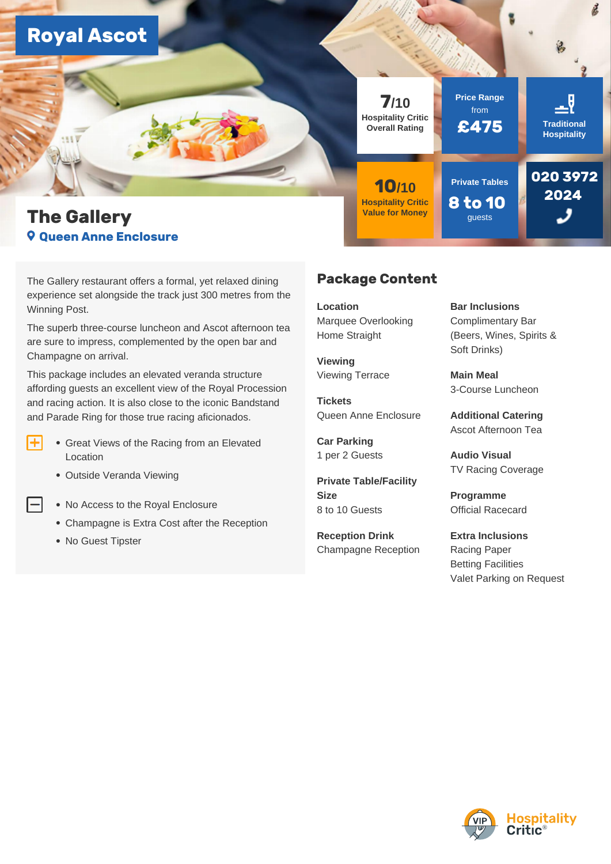# **Royal Ascot**

# **The Gallery Queen Anne Enclosure**

The Gallery restaurant offers a formal, yet relaxed dining experience set alongside the track just 300 metres from the Winning Post.

The superb three-course luncheon and Ascot afternoon tea are sure to impress, complemented by the open bar and Champagne on arrival.

This package includes an elevated veranda structure affording guests an excellent view of the Royal Procession and racing action. It is also close to the iconic Bandstand and Parade Ring for those true racing aficionados.

- Great Views of the Racing from an Elevated Location
	- Outside Veranda Viewing
	- No Access to the Royal Enclosure
	- Champagne is Extra Cost after the Reception
	- No Guest Tipster

 $\overline{+}$ 



### **Package Content**

**Location**  Marquee Overlooking Home Straight

**Viewing**  Viewing Terrace

**Tickets**  Queen Anne Enclosure

**Car Parking**  1 per 2 Guests

**Private Table/Facility Size**  8 to 10 Guests

**Reception Drink**  Champagne Reception **Bar Inclusions**  Complimentary Bar (Beers, Wines, Spirits & Soft Drinks)

**Main Meal**  3-Course Luncheon

**Additional Catering**  Ascot Afternoon Tea

**Audio Visual**  TV Racing Coverage

**Programme**  Official Racecard

**Extra Inclusions**  Racing Paper Betting Facilities Valet Parking on Request

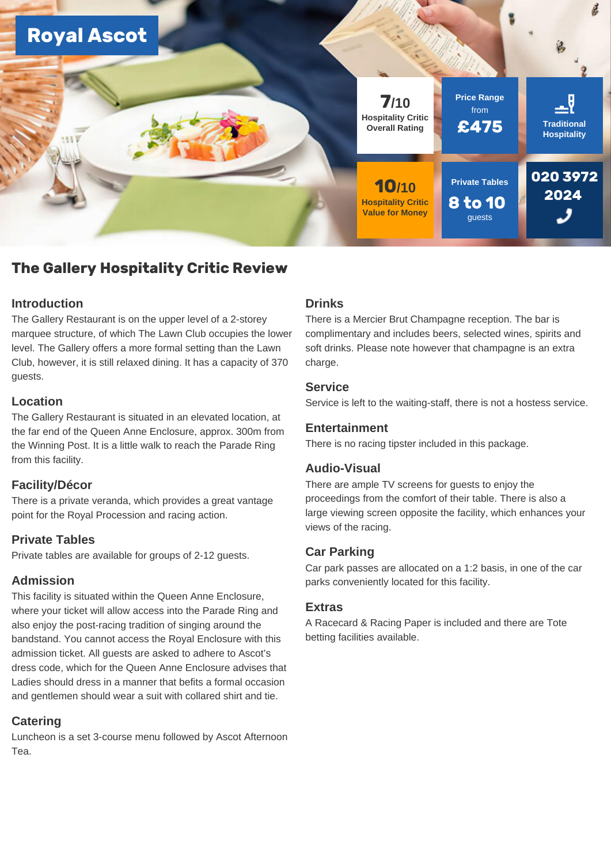

## **The Gallery Hospitality Critic Review**

#### **Introduction**

The Gallery Restaurant is on the upper level of a 2-storey marquee structure, of which The Lawn Club occupies the lower level. The Gallery offers a more formal setting than the Lawn Club, however, it is still relaxed dining. It has a capacity of 370 guests.

#### **Location**

The Gallery Restaurant is situated in an elevated location, at the far end of the Queen Anne Enclosure, approx. 300m from the Winning Post. It is a little walk to reach the Parade Ring from this facility.

#### **Facility/Décor**

There is a private veranda, which provides a great vantage point for the Royal Procession and racing action.

#### **Private Tables**

Private tables are available for groups of 2-12 guests.

#### **Admission**

This facility is situated within the Queen Anne Enclosure, where your ticket will allow access into the Parade Ring and also enjoy the post-racing tradition of singing around the bandstand. You cannot access the Royal Enclosure with this admission ticket. All guests are asked to adhere to Ascot's dress code, which for the Queen Anne Enclosure advises that Ladies should dress in a manner that befits a formal occasion and gentlemen should wear a suit with collared shirt and tie.

#### **Catering**

Luncheon is a set 3-course menu followed by Ascot Afternoon Tea.

#### **Drinks**

There is a Mercier Brut Champagne reception. The bar is complimentary and includes beers, selected wines, spirits and soft drinks. Please note however that champagne is an extra charge.

#### **Service**

Service is left to the waiting-staff, there is not a hostess service.

#### **Entertainment**

There is no racing tipster included in this package.

#### **Audio-Visual**

There are ample TV screens for guests to enjoy the proceedings from the comfort of their table. There is also a large viewing screen opposite the facility, which enhances your views of the racing.

#### **Car Parking**

Car park passes are allocated on a 1:2 basis, in one of the car parks conveniently located for this facility.

#### **Extras**

A Racecard & Racing Paper is included and there are Tote betting facilities available.